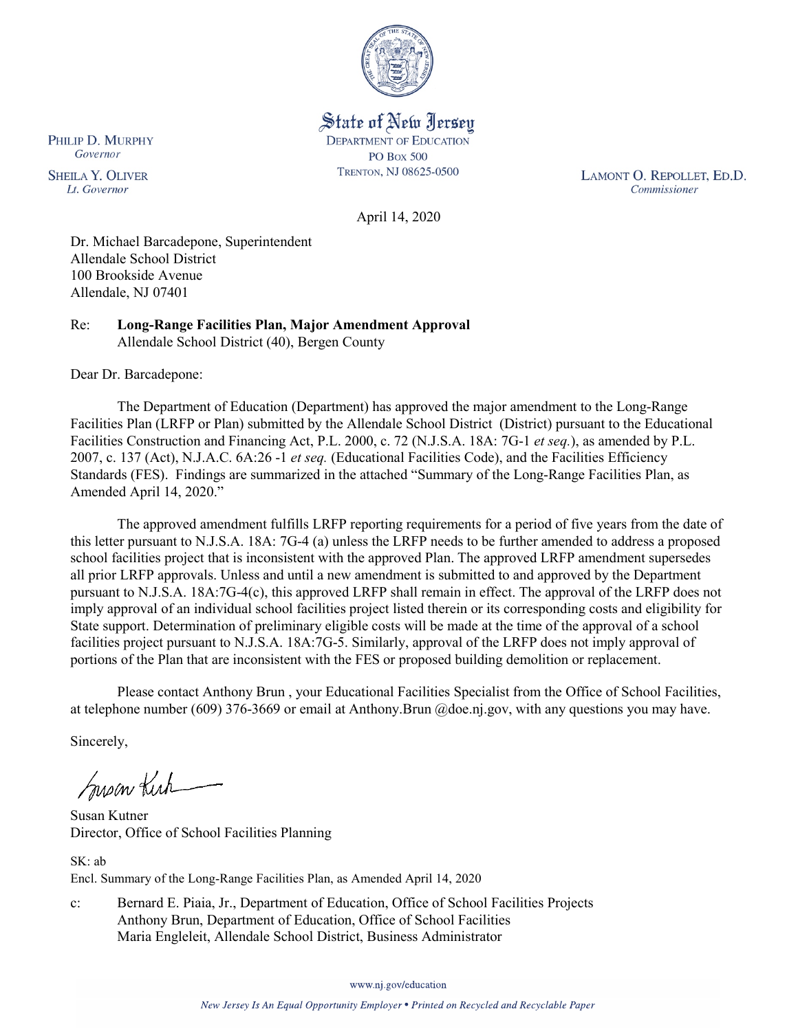

State of New Jersey **DEPARTMENT OF EDUCATION PO Box 500** TRENTON, NJ 08625-0500

LAMONT O. REPOLLET, ED.D. Commissioner

April 14, 2020

Dr. Michael Barcadepone, Superintendent Allendale School District 100 Brookside Avenue Allendale, NJ 07401

Re: **Long-Range Facilities Plan, Major Amendment Approval** Allendale School District (40), Bergen County

Dear Dr. Barcadepone:

The Department of Education (Department) has approved the major amendment to the Long-Range Facilities Plan (LRFP or Plan) submitted by the Allendale School District (District) pursuant to the Educational Facilities Construction and Financing Act, P.L. 2000, c. 72 (N.J.S.A. 18A: 7G-1 *et seq.*), as amended by P.L. 2007, c. 137 (Act), N.J.A.C. 6A:26 -1 *et seq.* (Educational Facilities Code), and the Facilities Efficiency Standards (FES). Findings are summarized in the attached "Summary of the Long-Range Facilities Plan, as Amended April 14, 2020."

The approved amendment fulfills LRFP reporting requirements for a period of five years from the date of this letter pursuant to N.J.S.A. 18A: 7G-4 (a) unless the LRFP needs to be further amended to address a proposed school facilities project that is inconsistent with the approved Plan. The approved LRFP amendment supersedes all prior LRFP approvals. Unless and until a new amendment is submitted to and approved by the Department pursuant to N.J.S.A. 18A:7G-4(c), this approved LRFP shall remain in effect. The approval of the LRFP does not imply approval of an individual school facilities project listed therein or its corresponding costs and eligibility for State support. Determination of preliminary eligible costs will be made at the time of the approval of a school facilities project pursuant to N.J.S.A. 18A:7G-5. Similarly, approval of the LRFP does not imply approval of portions of the Plan that are inconsistent with the FES or proposed building demolition or replacement.

Please contact Anthony Brun , your Educational Facilities Specialist from the Office of School Facilities, at telephone number (609) 376-3669 or email at Anthony.Brun @doe.nj.gov, with any questions you may have.

Sincerely,

Susan Kich

Susan Kutner Director, Office of School Facilities Planning

SK: ab Encl. Summary of the Long-Range Facilities Plan, as Amended April 14, 2020

c: Bernard E. Piaia, Jr., Department of Education, Office of School Facilities Projects Anthony Brun, Department of Education, Office of School Facilities Maria Engleleit, Allendale School District, Business Administrator

www.nj.gov/education

PHILIP D. MURPHY Governor

**SHEILA Y. OLIVER** Lt. Governor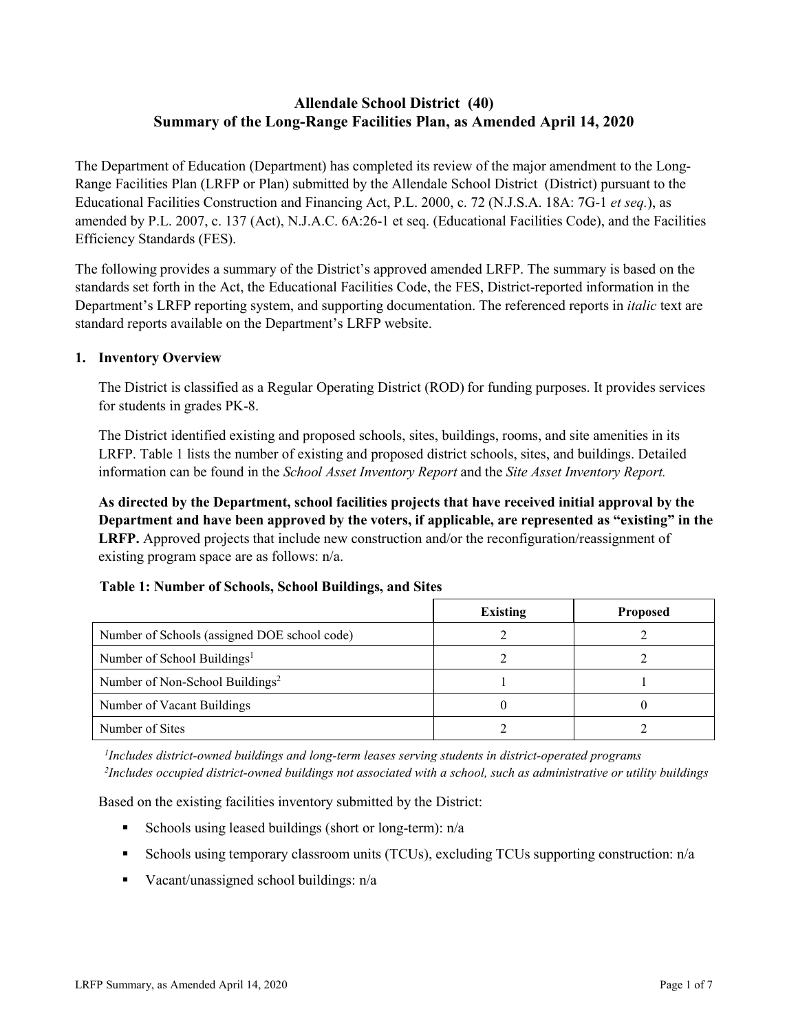# **Allendale School District (40) Summary of the Long-Range Facilities Plan, as Amended April 14, 2020**

The Department of Education (Department) has completed its review of the major amendment to the Long-Range Facilities Plan (LRFP or Plan) submitted by the Allendale School District (District) pursuant to the Educational Facilities Construction and Financing Act, P.L. 2000, c. 72 (N.J.S.A. 18A: 7G-1 *et seq.*), as amended by P.L. 2007, c. 137 (Act), N.J.A.C. 6A:26-1 et seq. (Educational Facilities Code), and the Facilities Efficiency Standards (FES).

The following provides a summary of the District's approved amended LRFP. The summary is based on the standards set forth in the Act, the Educational Facilities Code, the FES, District-reported information in the Department's LRFP reporting system, and supporting documentation. The referenced reports in *italic* text are standard reports available on the Department's LRFP website.

#### **1. Inventory Overview**

The District is classified as a Regular Operating District (ROD) for funding purposes. It provides services for students in grades PK-8.

The District identified existing and proposed schools, sites, buildings, rooms, and site amenities in its LRFP. Table 1 lists the number of existing and proposed district schools, sites, and buildings. Detailed information can be found in the *School Asset Inventory Report* and the *Site Asset Inventory Report.*

**As directed by the Department, school facilities projects that have received initial approval by the Department and have been approved by the voters, if applicable, are represented as "existing" in the LRFP.** Approved projects that include new construction and/or the reconfiguration/reassignment of existing program space are as follows: n/a.

|  |  | Table 1: Number of Schools, School Buildings, and Sites |  |
|--|--|---------------------------------------------------------|--|
|--|--|---------------------------------------------------------|--|

|                                              | <b>Existing</b> | <b>Proposed</b> |
|----------------------------------------------|-----------------|-----------------|
| Number of Schools (assigned DOE school code) |                 |                 |
| Number of School Buildings <sup>1</sup>      |                 |                 |
| Number of Non-School Buildings <sup>2</sup>  |                 |                 |
| Number of Vacant Buildings                   |                 |                 |
| Number of Sites                              |                 |                 |

*1 Includes district-owned buildings and long-term leases serving students in district-operated programs 2 Includes occupied district-owned buildings not associated with a school, such as administrative or utility buildings*

Based on the existing facilities inventory submitted by the District:

- Schools using leased buildings (short or long-term):  $n/a$
- Schools using temporary classroom units (TCUs), excluding TCUs supporting construction: n/a
- Vacant/unassigned school buildings:  $n/a$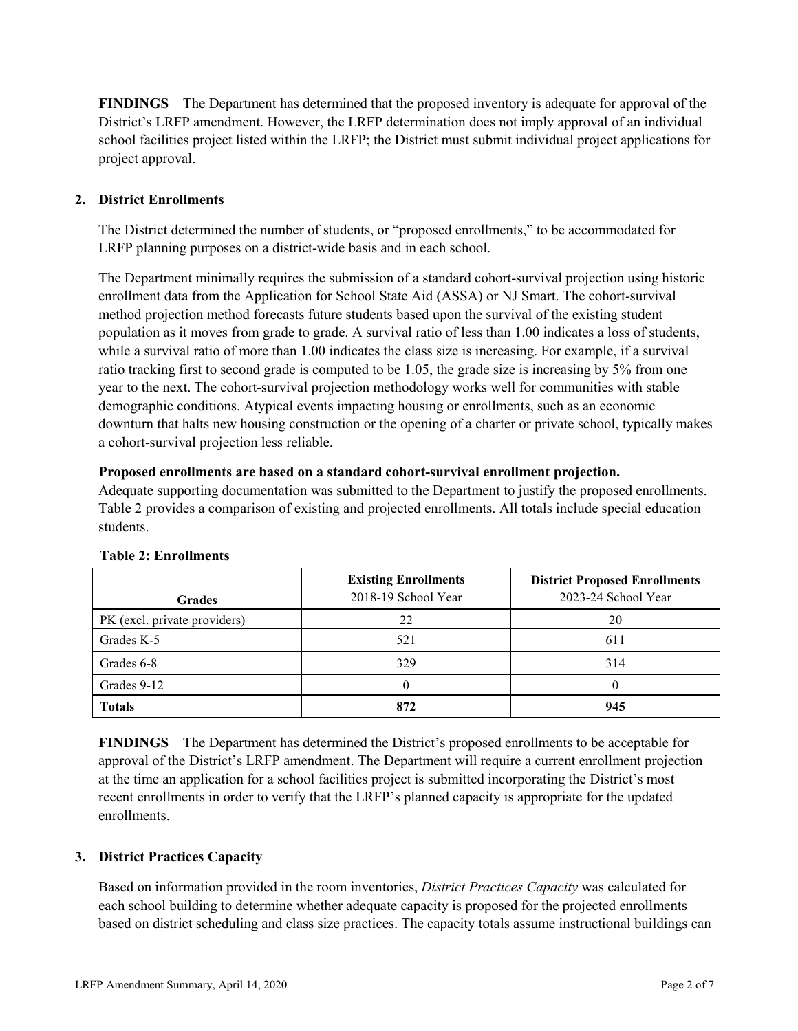**FINDINGS** The Department has determined that the proposed inventory is adequate for approval of the District's LRFP amendment. However, the LRFP determination does not imply approval of an individual school facilities project listed within the LRFP; the District must submit individual project applications for project approval.

# **2. District Enrollments**

The District determined the number of students, or "proposed enrollments," to be accommodated for LRFP planning purposes on a district-wide basis and in each school.

The Department minimally requires the submission of a standard cohort-survival projection using historic enrollment data from the Application for School State Aid (ASSA) or NJ Smart. The cohort-survival method projection method forecasts future students based upon the survival of the existing student population as it moves from grade to grade. A survival ratio of less than 1.00 indicates a loss of students, while a survival ratio of more than 1.00 indicates the class size is increasing. For example, if a survival ratio tracking first to second grade is computed to be 1.05, the grade size is increasing by 5% from one year to the next. The cohort-survival projection methodology works well for communities with stable demographic conditions. Atypical events impacting housing or enrollments, such as an economic downturn that halts new housing construction or the opening of a charter or private school, typically makes a cohort-survival projection less reliable.

#### **Proposed enrollments are based on a standard cohort-survival enrollment projection.**

Adequate supporting documentation was submitted to the Department to justify the proposed enrollments. Table 2 provides a comparison of existing and projected enrollments. All totals include special education students.

| <b>Grades</b>                | <b>Existing Enrollments</b><br>2018-19 School Year | <b>District Proposed Enrollments</b><br>2023-24 School Year |
|------------------------------|----------------------------------------------------|-------------------------------------------------------------|
| PK (excl. private providers) | 22                                                 | 20                                                          |
| Grades K-5                   | 521                                                | 611                                                         |
| Grades 6-8                   | 329                                                | 314                                                         |
| Grades 9-12                  |                                                    |                                                             |
| <b>Totals</b>                | 872                                                | 945                                                         |

# **Table 2: Enrollments**

**FINDINGS** The Department has determined the District's proposed enrollments to be acceptable for approval of the District's LRFP amendment. The Department will require a current enrollment projection at the time an application for a school facilities project is submitted incorporating the District's most recent enrollments in order to verify that the LRFP's planned capacity is appropriate for the updated enrollments.

# **3. District Practices Capacity**

Based on information provided in the room inventories, *District Practices Capacity* was calculated for each school building to determine whether adequate capacity is proposed for the projected enrollments based on district scheduling and class size practices. The capacity totals assume instructional buildings can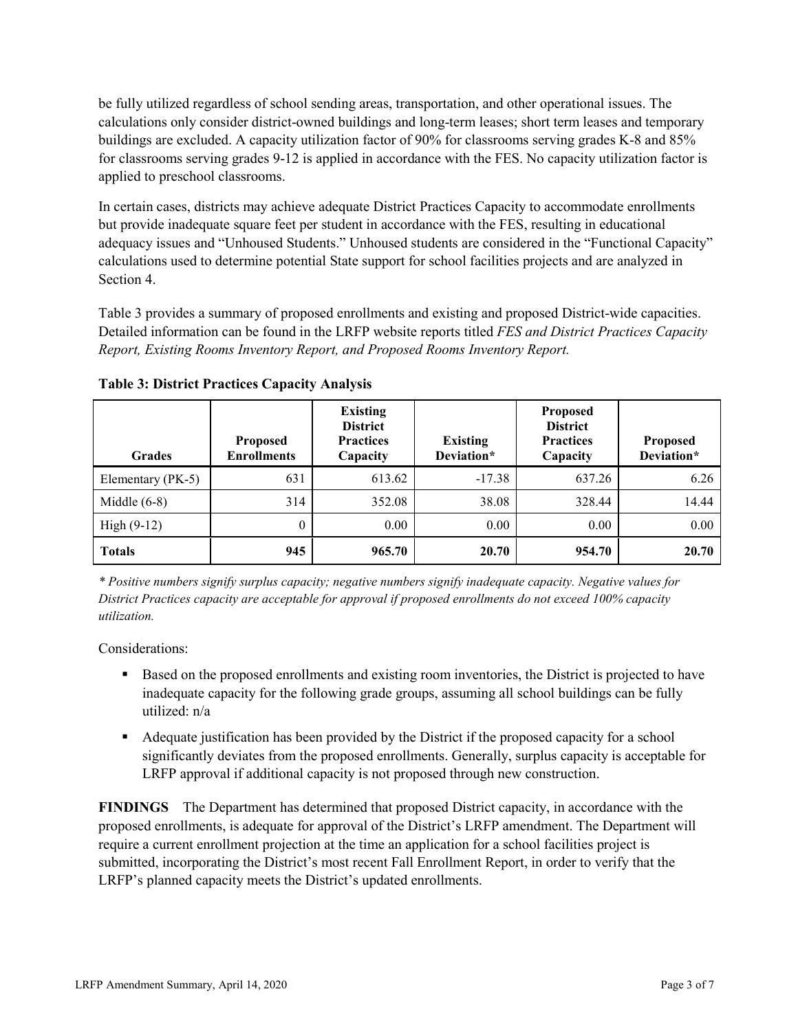be fully utilized regardless of school sending areas, transportation, and other operational issues. The calculations only consider district-owned buildings and long-term leases; short term leases and temporary buildings are excluded. A capacity utilization factor of 90% for classrooms serving grades K-8 and 85% for classrooms serving grades 9-12 is applied in accordance with the FES. No capacity utilization factor is applied to preschool classrooms.

In certain cases, districts may achieve adequate District Practices Capacity to accommodate enrollments but provide inadequate square feet per student in accordance with the FES, resulting in educational adequacy issues and "Unhoused Students." Unhoused students are considered in the "Functional Capacity" calculations used to determine potential State support for school facilities projects and are analyzed in Section 4.

Table 3 provides a summary of proposed enrollments and existing and proposed District-wide capacities. Detailed information can be found in the LRFP website reports titled *FES and District Practices Capacity Report, Existing Rooms Inventory Report, and Proposed Rooms Inventory Report.*

| <b>Grades</b>     | <b>Proposed</b><br><b>Enrollments</b> | <b>Existing</b><br><b>District</b><br><b>Practices</b><br>Capacity | <b>Existing</b><br>Deviation* | <b>Proposed</b><br><b>District</b><br><b>Practices</b><br>Capacity | <b>Proposed</b><br>Deviation* |
|-------------------|---------------------------------------|--------------------------------------------------------------------|-------------------------------|--------------------------------------------------------------------|-------------------------------|
| Elementary (PK-5) | 631                                   | 613.62                                                             | $-17.38$                      | 637.26                                                             | 6.26                          |
| Middle $(6-8)$    | 314                                   | 352.08                                                             | 38.08                         | 328.44                                                             | 14.44                         |
| High $(9-12)$     | $\theta$                              | 0.00                                                               | 0.00                          | 0.00                                                               | 0.00                          |
| <b>Totals</b>     | 945                                   | 965.70                                                             | 20.70                         | 954.70                                                             | 20.70                         |

**Table 3: District Practices Capacity Analysis**

*\* Positive numbers signify surplus capacity; negative numbers signify inadequate capacity. Negative values for District Practices capacity are acceptable for approval if proposed enrollments do not exceed 100% capacity utilization.*

Considerations:

- **Based on the proposed enrollments and existing room inventories, the District is projected to have** inadequate capacity for the following grade groups, assuming all school buildings can be fully utilized: n/a
- Adequate justification has been provided by the District if the proposed capacity for a school significantly deviates from the proposed enrollments. Generally, surplus capacity is acceptable for LRFP approval if additional capacity is not proposed through new construction.

**FINDINGS**The Department has determined that proposed District capacity, in accordance with the proposed enrollments, is adequate for approval of the District's LRFP amendment. The Department will require a current enrollment projection at the time an application for a school facilities project is submitted, incorporating the District's most recent Fall Enrollment Report, in order to verify that the LRFP's planned capacity meets the District's updated enrollments.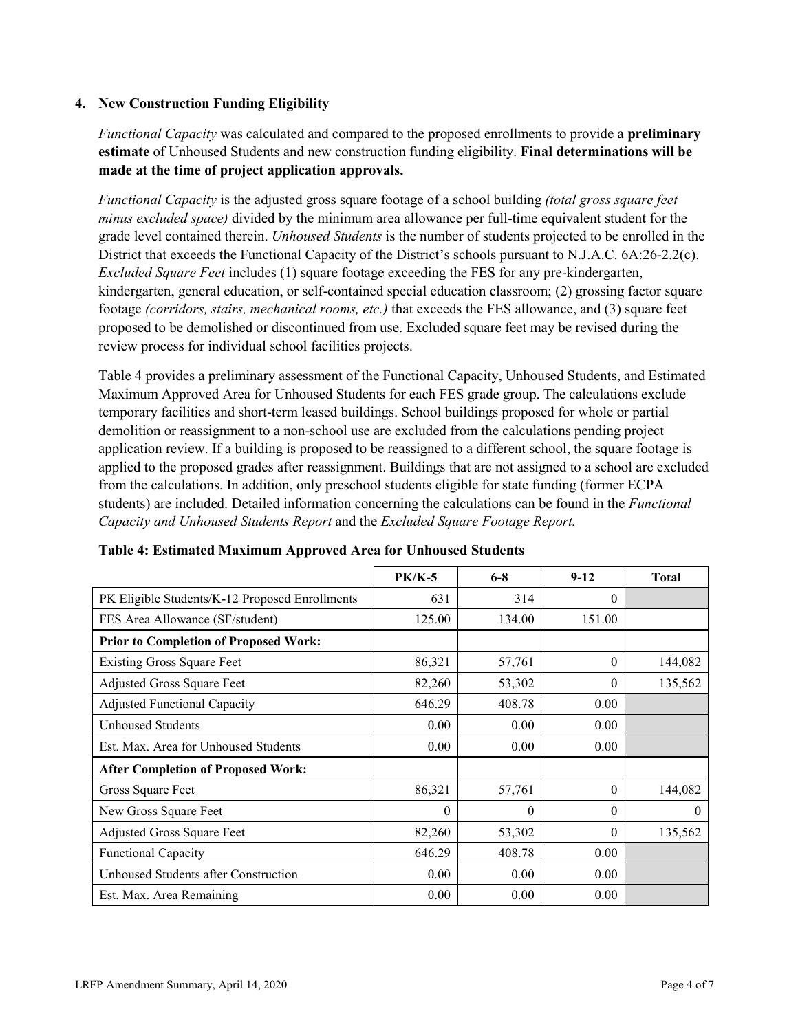#### **4. New Construction Funding Eligibility**

*Functional Capacity* was calculated and compared to the proposed enrollments to provide a **preliminary estimate** of Unhoused Students and new construction funding eligibility. **Final determinations will be made at the time of project application approvals.**

*Functional Capacity* is the adjusted gross square footage of a school building *(total gross square feet minus excluded space)* divided by the minimum area allowance per full-time equivalent student for the grade level contained therein. *Unhoused Students* is the number of students projected to be enrolled in the District that exceeds the Functional Capacity of the District's schools pursuant to N.J.A.C. 6A:26-2.2(c). *Excluded Square Feet* includes (1) square footage exceeding the FES for any pre-kindergarten, kindergarten, general education, or self-contained special education classroom; (2) grossing factor square footage *(corridors, stairs, mechanical rooms, etc.)* that exceeds the FES allowance, and (3) square feet proposed to be demolished or discontinued from use. Excluded square feet may be revised during the review process for individual school facilities projects.

Table 4 provides a preliminary assessment of the Functional Capacity, Unhoused Students, and Estimated Maximum Approved Area for Unhoused Students for each FES grade group. The calculations exclude temporary facilities and short-term leased buildings. School buildings proposed for whole or partial demolition or reassignment to a non-school use are excluded from the calculations pending project application review. If a building is proposed to be reassigned to a different school, the square footage is applied to the proposed grades after reassignment. Buildings that are not assigned to a school are excluded from the calculations. In addition, only preschool students eligible for state funding (former ECPA students) are included. Detailed information concerning the calculations can be found in the *Functional Capacity and Unhoused Students Report* and the *Excluded Square Footage Report.*

|                                                | <b>PK/K-5</b> | $6 - 8$  | $9 - 12$ | <b>Total</b> |
|------------------------------------------------|---------------|----------|----------|--------------|
| PK Eligible Students/K-12 Proposed Enrollments | 631           | 314      | $\theta$ |              |
| FES Area Allowance (SF/student)                | 125.00        | 134.00   | 151.00   |              |
| <b>Prior to Completion of Proposed Work:</b>   |               |          |          |              |
| <b>Existing Gross Square Feet</b>              | 86,321        | 57,761   | $\theta$ | 144,082      |
| Adjusted Gross Square Feet                     | 82,260        | 53,302   | $\theta$ | 135,562      |
| <b>Adjusted Functional Capacity</b>            | 646.29        | 408.78   | 0.00     |              |
| <b>Unhoused Students</b>                       | 0.00          | 0.00     | 0.00     |              |
| Est. Max. Area for Unhoused Students           | 0.00          | 0.00     | 0.00     |              |
| <b>After Completion of Proposed Work:</b>      |               |          |          |              |
| Gross Square Feet                              | 86,321        | 57,761   | $\theta$ | 144,082      |
| New Gross Square Feet                          | $\theta$      | $\theta$ | $\Omega$ | $\theta$     |
| Adjusted Gross Square Feet                     | 82,260        | 53,302   | $\Omega$ | 135,562      |
| <b>Functional Capacity</b>                     | 646.29        | 408.78   | 0.00     |              |
| Unhoused Students after Construction           | 0.00          | 0.00     | 0.00     |              |
| Est. Max. Area Remaining                       | 0.00          | 0.00     | 0.00     |              |

**Table 4: Estimated Maximum Approved Area for Unhoused Students**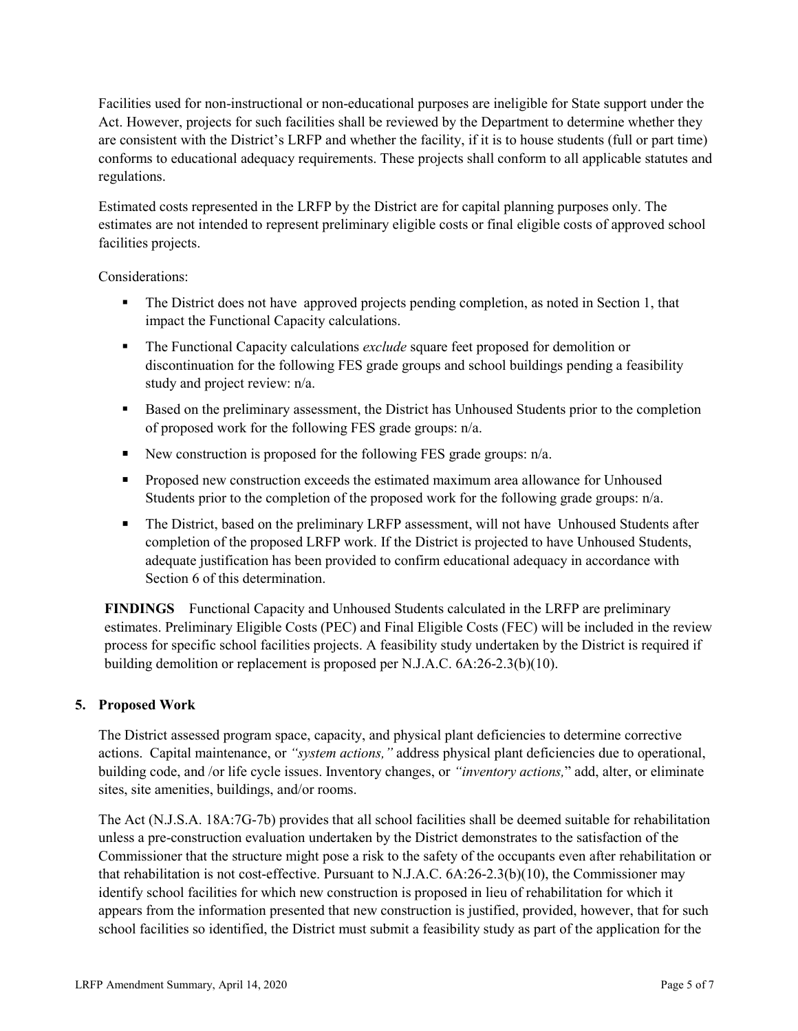Facilities used for non-instructional or non-educational purposes are ineligible for State support under the Act. However, projects for such facilities shall be reviewed by the Department to determine whether they are consistent with the District's LRFP and whether the facility, if it is to house students (full or part time) conforms to educational adequacy requirements. These projects shall conform to all applicable statutes and regulations.

Estimated costs represented in the LRFP by the District are for capital planning purposes only. The estimates are not intended to represent preliminary eligible costs or final eligible costs of approved school facilities projects.

Considerations:

- The District does not have approved projects pending completion, as noted in Section 1, that impact the Functional Capacity calculations.
- The Functional Capacity calculations *exclude* square feet proposed for demolition or discontinuation for the following FES grade groups and school buildings pending a feasibility study and project review: n/a.
- Based on the preliminary assessment, the District has Unhoused Students prior to the completion of proposed work for the following FES grade groups: n/a.
- New construction is proposed for the following FES grade groups:  $n/a$ .
- **Proposed new construction exceeds the estimated maximum area allowance for Unhoused** Students prior to the completion of the proposed work for the following grade groups: n/a.
- The District, based on the preliminary LRFP assessment, will not have Unhoused Students after completion of the proposed LRFP work. If the District is projected to have Unhoused Students, adequate justification has been provided to confirm educational adequacy in accordance with Section 6 of this determination.

**FINDINGS** Functional Capacity and Unhoused Students calculated in the LRFP are preliminary estimates. Preliminary Eligible Costs (PEC) and Final Eligible Costs (FEC) will be included in the review process for specific school facilities projects. A feasibility study undertaken by the District is required if building demolition or replacement is proposed per N.J.A.C. 6A:26-2.3(b)(10).

# **5. Proposed Work**

The District assessed program space, capacity, and physical plant deficiencies to determine corrective actions. Capital maintenance, or *"system actions,"* address physical plant deficiencies due to operational, building code, and /or life cycle issues. Inventory changes, or *"inventory actions,*" add, alter, or eliminate sites, site amenities, buildings, and/or rooms.

The Act (N.J.S.A. 18A:7G-7b) provides that all school facilities shall be deemed suitable for rehabilitation unless a pre-construction evaluation undertaken by the District demonstrates to the satisfaction of the Commissioner that the structure might pose a risk to the safety of the occupants even after rehabilitation or that rehabilitation is not cost-effective. Pursuant to N.J.A.C. 6A:26-2.3(b)(10), the Commissioner may identify school facilities for which new construction is proposed in lieu of rehabilitation for which it appears from the information presented that new construction is justified, provided, however, that for such school facilities so identified, the District must submit a feasibility study as part of the application for the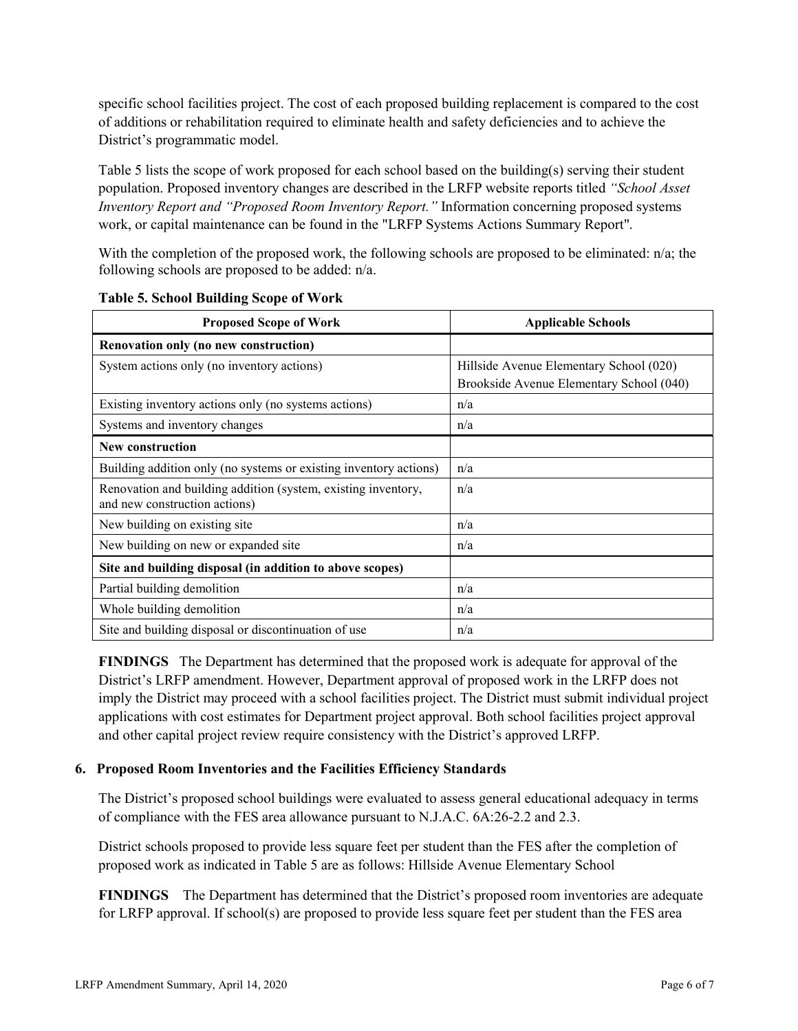specific school facilities project. The cost of each proposed building replacement is compared to the cost of additions or rehabilitation required to eliminate health and safety deficiencies and to achieve the District's programmatic model.

Table 5 lists the scope of work proposed for each school based on the building(s) serving their student population. Proposed inventory changes are described in the LRFP website reports titled *"School Asset Inventory Report and "Proposed Room Inventory Report."* Information concerning proposed systems work, or capital maintenance can be found in the "LRFP Systems Actions Summary Report".

With the completion of the proposed work, the following schools are proposed to be eliminated: n/a; the following schools are proposed to be added: n/a.

| <b>Proposed Scope of Work</b>                                                                  | <b>Applicable Schools</b>                |  |  |
|------------------------------------------------------------------------------------------------|------------------------------------------|--|--|
| Renovation only (no new construction)                                                          |                                          |  |  |
| System actions only (no inventory actions)                                                     | Hillside Avenue Elementary School (020)  |  |  |
|                                                                                                | Brookside Avenue Elementary School (040) |  |  |
| Existing inventory actions only (no systems actions)                                           | n/a                                      |  |  |
| Systems and inventory changes                                                                  | n/a                                      |  |  |
| New construction                                                                               |                                          |  |  |
| Building addition only (no systems or existing inventory actions)                              | n/a                                      |  |  |
| Renovation and building addition (system, existing inventory,<br>and new construction actions) | n/a                                      |  |  |
| New building on existing site                                                                  | n/a                                      |  |  |
| New building on new or expanded site                                                           | n/a                                      |  |  |
| Site and building disposal (in addition to above scopes)                                       |                                          |  |  |
| Partial building demolition                                                                    | n/a                                      |  |  |
| Whole building demolition                                                                      | n/a                                      |  |  |
| Site and building disposal or discontinuation of use                                           | n/a                                      |  |  |

**Table 5. School Building Scope of Work**

**FINDINGS** The Department has determined that the proposed work is adequate for approval of the District's LRFP amendment. However, Department approval of proposed work in the LRFP does not imply the District may proceed with a school facilities project. The District must submit individual project applications with cost estimates for Department project approval. Both school facilities project approval and other capital project review require consistency with the District's approved LRFP.

#### **6. Proposed Room Inventories and the Facilities Efficiency Standards**

The District's proposed school buildings were evaluated to assess general educational adequacy in terms of compliance with the FES area allowance pursuant to N.J.A.C. 6A:26-2.2 and 2.3.

District schools proposed to provide less square feet per student than the FES after the completion of proposed work as indicated in Table 5 are as follows: Hillside Avenue Elementary School

**FINDINGS** The Department has determined that the District's proposed room inventories are adequate for LRFP approval. If school(s) are proposed to provide less square feet per student than the FES area